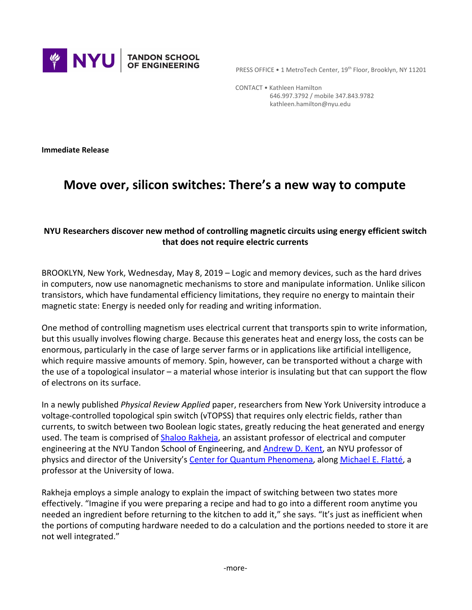

PRESS OFFICE • 1 MetroTech Center, 19<sup>th</sup> Floor, Brooklyn, NY 11201

 CONTACT • Kathleen Hamilton 646.997.3792 / mobile 347.843.9782 kathleen.hamilton@nyu.edu

**Immediate Release**

## **Move over, silicon switches: There's a new way to compute**

## **NYU Researchers discover new method of controlling magnetic circuits using energy efficient switch that does not require electric currents**

BROOKLYN, New York, Wednesday, May 8, 2019 – Logic and memory devices, such as the hard drives in computers, now use nanomagnetic mechanisms to store and manipulate information. Unlike silicon transistors, which have fundamental efficiency limitations, they require no energy to maintain their magnetic state: Energy is needed only for reading and writing information.

One method of controlling magnetism uses electrical current that transports spin to write information, but this usually involves flowing charge. Because this generates heat and energy loss, the costs can be enormous, particularly in the case of large server farms or in applications like artificial intelligence, which require massive amounts of memory. Spin, however, can be transported without a charge with the use of a topological insulator – a material whose interior is insulating but that can support the flow of electrons on its surface.

In a newly published *Physical Review Applied* paper, researchers from New York University introduce a voltage-controlled topological spin switch (vTOPSS) that requires only electric fields, rather than currents, to switch between two Boolean logic states, greatly reducing the heat generated and energy used. The team is comprised of **Shaloo Rakheja**, an assistant professor of electrical and computer engineering at the NYU Tandon School of Engineering, and **[Andrew D. Kent](http://as.nyu.edu/content/nyu-as/as/faculty/andrew-d-kent.html)**, an NYU professor of physics and director of the University's [Center for Quantum Phenomena](http://as.nyu.edu/content/nyu-as/as/departments/physics/research/center-for-quantum-phenomena.html), along [Michael E. Flatté,](http://frg.physics.uiowa.edu/) a professor at the University of Iowa.

Rakheja employs a simple analogy to explain the impact of switching between two states more effectively. "Imagine if you were preparing a recipe and had to go into a different room anytime you needed an ingredient before returning to the kitchen to add it," she says. "It's just as inefficient when the portions of computing hardware needed to do a calculation and the portions needed to store it are not well integrated."